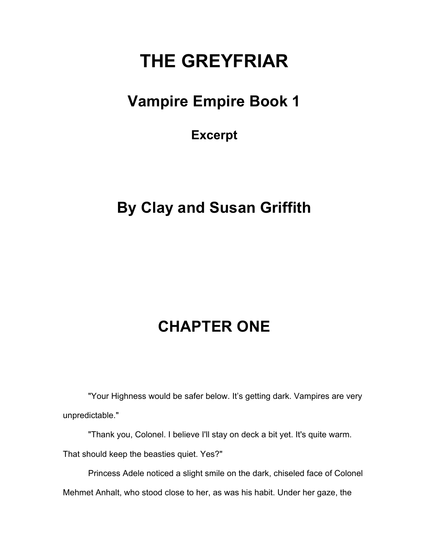# **THE GREYFRIAR**

## **Vampire Empire Book 1**

#### **Excerpt**

## **By Clay and Susan Griffith**

### **CHAPTER ONE**

"Your Highness would be safer below. It's getting dark. Vampires are very unpredictable."

"Thank you, Colonel. I believe I'll stay on deck a bit yet. It's quite warm. That should keep the beasties quiet. Yes?"

Princess Adele noticed a slight smile on the dark, chiseled face of Colonel Mehmet Anhalt, who stood close to her, as was his habit. Under her gaze, the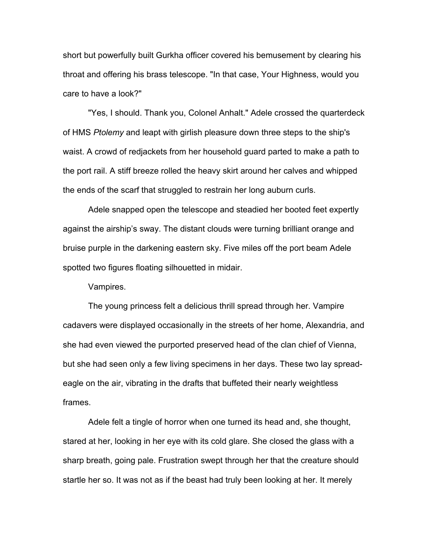short but powerfully built Gurkha officer covered his bemusement by clearing his throat and offering his brass telescope. "In that case, Your Highness, would you care to have a look?"

"Yes, I should. Thank you, Colonel Anhalt." Adele crossed the quarterdeck of HMS *Ptolemy* and leapt with girlish pleasure down three steps to the ship's waist. A crowd of redjackets from her household guard parted to make a path to the port rail. A stiff breeze rolled the heavy skirt around her calves and whipped the ends of the scarf that struggled to restrain her long auburn curls.

Adele snapped open the telescope and steadied her booted feet expertly against the airship's sway. The distant clouds were turning brilliant orange and bruise purple in the darkening eastern sky. Five miles off the port beam Adele spotted two figures floating silhouetted in midair.

Vampires.

The young princess felt a delicious thrill spread through her. Vampire cadavers were displayed occasionally in the streets of her home, Alexandria, and she had even viewed the purported preserved head of the clan chief of Vienna, but she had seen only a few living specimens in her days. These two lay spreadeagle on the air, vibrating in the drafts that buffeted their nearly weightless frames.

Adele felt a tingle of horror when one turned its head and, she thought, stared at her, looking in her eye with its cold glare. She closed the glass with a sharp breath, going pale. Frustration swept through her that the creature should startle her so. It was not as if the beast had truly been looking at her. It merely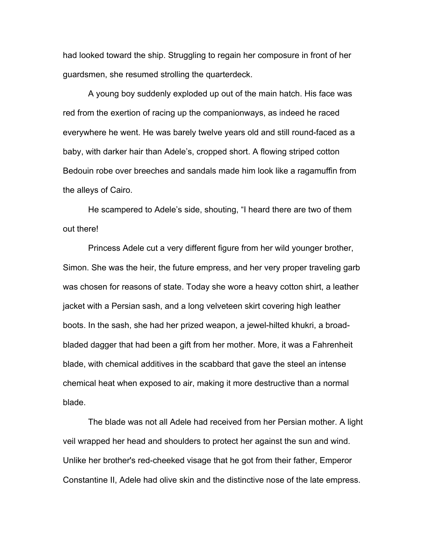had looked toward the ship. Struggling to regain her composure in front of her guardsmen, she resumed strolling the quarterdeck.

A young boy suddenly exploded up out of the main hatch. His face was red from the exertion of racing up the companionways, as indeed he raced everywhere he went. He was barely twelve years old and still round-faced as a baby, with darker hair than Adele's, cropped short. A flowing striped cotton Bedouin robe over breeches and sandals made him look like a ragamuffin from the alleys of Cairo.

He scampered to Adele's side, shouting, "I heard there are two of them out there!

Princess Adele cut a very different figure from her wild younger brother, Simon. She was the heir, the future empress, and her very proper traveling garb was chosen for reasons of state. Today she wore a heavy cotton shirt, a leather jacket with a Persian sash, and a long velveteen skirt covering high leather boots. In the sash, she had her prized weapon, a jewel-hilted khukri, a broadbladed dagger that had been a gift from her mother. More, it was a Fahrenheit blade, with chemical additives in the scabbard that gave the steel an intense chemical heat when exposed to air, making it more destructive than a normal blade.

The blade was not all Adele had received from her Persian mother. A light veil wrapped her head and shoulders to protect her against the sun and wind. Unlike her brother's red-cheeked visage that he got from their father, Emperor Constantine II, Adele had olive skin and the distinctive nose of the late empress.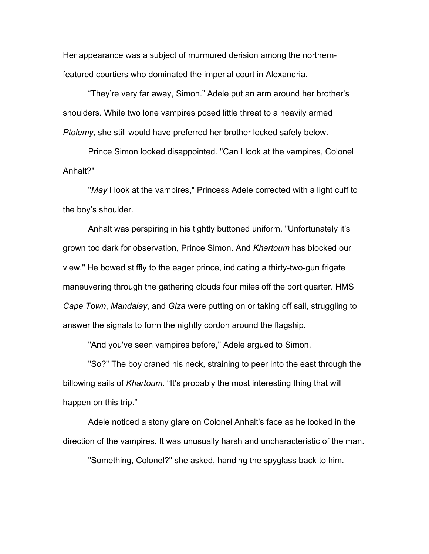Her appearance was a subject of murmured derision among the northernfeatured courtiers who dominated the imperial court in Alexandria.

"They're very far away, Simon." Adele put an arm around her brother's shoulders. While two lone vampires posed little threat to a heavily armed *Ptolemy*, she still would have preferred her brother locked safely below.

Prince Simon looked disappointed. "Can I look at the vampires, Colonel Anhalt?"

"*May* I look at the vampires," Princess Adele corrected with a light cuff to the boy's shoulder.

Anhalt was perspiring in his tightly buttoned uniform. "Unfortunately it's grown too dark for observation, Prince Simon. And *Khartoum* has blocked our view." He bowed stiffly to the eager prince, indicating a thirty-two-gun frigate maneuvering through the gathering clouds four miles off the port quarter. HMS *Cape Town*, *Mandalay*, and *Giza* were putting on or taking off sail, struggling to answer the signals to form the nightly cordon around the flagship.

"And you've seen vampires before," Adele argued to Simon.

"So?" The boy craned his neck, straining to peer into the east through the billowing sails of *Khartoum*. "It's probably the most interesting thing that will happen on this trip."

Adele noticed a stony glare on Colonel Anhalt's face as he looked in the direction of the vampires. It was unusually harsh and uncharacteristic of the man.

"Something, Colonel?" she asked, handing the spyglass back to him.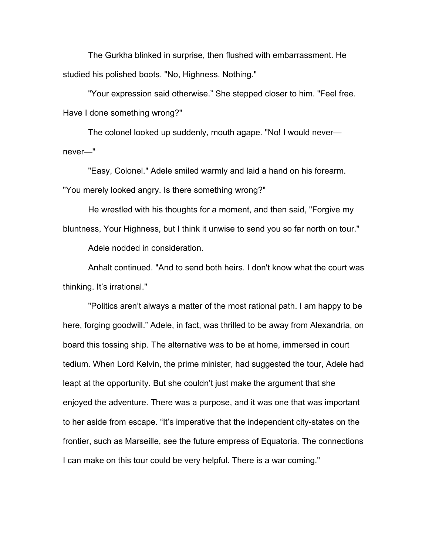The Gurkha blinked in surprise, then flushed with embarrassment. He studied his polished boots. "No, Highness. Nothing."

"Your expression said otherwise." She stepped closer to him. "Feel free. Have I done something wrong?"

The colonel looked up suddenly, mouth agape. "No! I would never never—"

"Easy, Colonel." Adele smiled warmly and laid a hand on his forearm. "You merely looked angry. Is there something wrong?"

He wrestled with his thoughts for a moment, and then said, "Forgive my bluntness, Your Highness, but I think it unwise to send you so far north on tour." Adele nodded in consideration.

Anhalt continued. "And to send both heirs. I don't know what the court was thinking. It's irrational."

"Politics aren't always a matter of the most rational path. I am happy to be here, forging goodwill." Adele, in fact, was thrilled to be away from Alexandria, on board this tossing ship. The alternative was to be at home, immersed in court tedium. When Lord Kelvin, the prime minister, had suggested the tour, Adele had leapt at the opportunity. But she couldn't just make the argument that she enjoyed the adventure. There was a purpose, and it was one that was important to her aside from escape. "It's imperative that the independent city-states on the frontier, such as Marseille, see the future empress of Equatoria. The connections I can make on this tour could be very helpful. There is a war coming."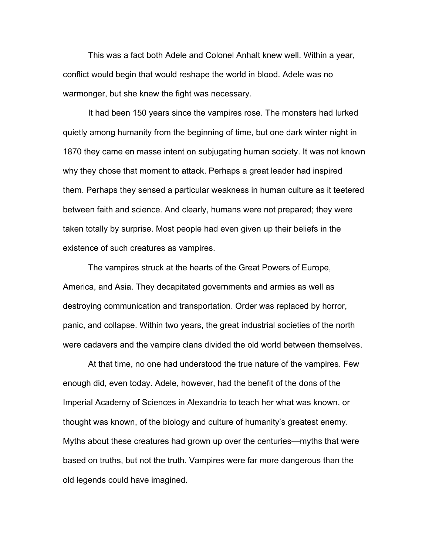This was a fact both Adele and Colonel Anhalt knew well. Within a year, conflict would begin that would reshape the world in blood. Adele was no warmonger, but she knew the fight was necessary.

It had been 150 years since the vampires rose. The monsters had lurked quietly among humanity from the beginning of time, but one dark winter night in 1870 they came en masse intent on subjugating human society. It was not known why they chose that moment to attack. Perhaps a great leader had inspired them. Perhaps they sensed a particular weakness in human culture as it teetered between faith and science. And clearly, humans were not prepared; they were taken totally by surprise. Most people had even given up their beliefs in the existence of such creatures as vampires.

The vampires struck at the hearts of the Great Powers of Europe, America, and Asia. They decapitated governments and armies as well as destroying communication and transportation. Order was replaced by horror, panic, and collapse. Within two years, the great industrial societies of the north were cadavers and the vampire clans divided the old world between themselves.

At that time, no one had understood the true nature of the vampires. Few enough did, even today. Adele, however, had the benefit of the dons of the Imperial Academy of Sciences in Alexandria to teach her what was known, or thought was known, of the biology and culture of humanity's greatest enemy. Myths about these creatures had grown up over the centuries—myths that were based on truths, but not the truth. Vampires were far more dangerous than the old legends could have imagined.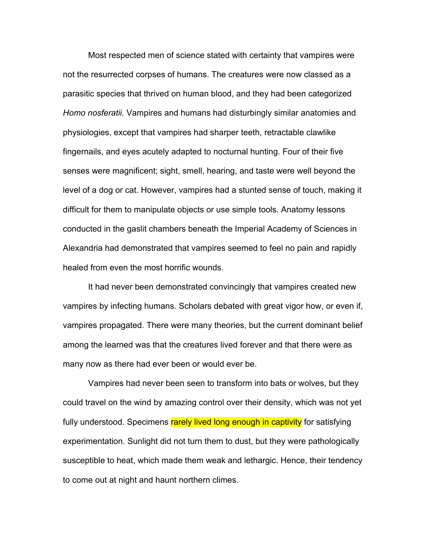Most respected men of science stated with certainty that vampires were not the resurrected corpses of humans. The creatures were now classed as a parasitic species that thrived on human blood, and they had been categorized *Homo nosferatii*. Vampires and humans had disturbingly similar anatomies and physiologies, except that vampires had sharper teeth, retractable clawlike fingernails, and eyes acutely adapted to nocturnal hunting. Four of their five senses were magnificent; sight, smell, hearing, and taste were well beyond the level of a dog or cat. However, vampires had a stunted sense of touch, making it difficult for them to manipulate objects or use simple tools. Anatomy lessons conducted in the gaslit chambers beneath the Imperial Academy of Sciences in Alexandria had demonstrated that vampires seemed to feel no pain and rapidly healed from even the most horrific wounds.

It had never been demonstrated convincingly that vampires created new vampires by infecting humans. Scholars debated with great vigor how, or even if, vampires propagated. There were many theories, but the current dominant belief among the learned was that the creatures lived forever and that there were as many now as there had ever been or would ever be.

Vampires had never been seen to transform into bats or wolves, but they could travel on the wind by amazing control over their density, which was not yet fully understood. Specimens rarely lived long enough in captivity for satisfying experimentation. Sunlight did not turn them to dust, but they were pathologically susceptible to heat, which made them weak and lethargic. Hence, their tendency to come out at night and haunt northern climes.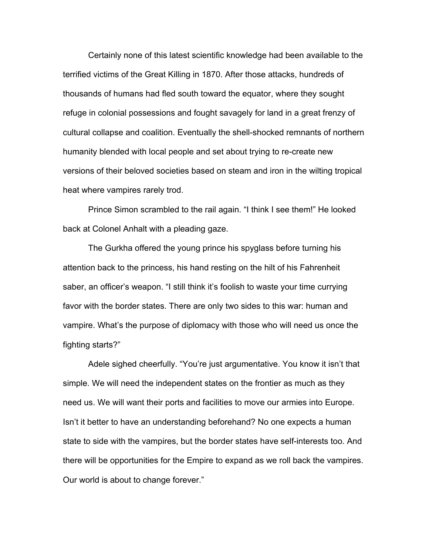Certainly none of this latest scientific knowledge had been available to the terrified victims of the Great Killing in 1870. After those attacks, hundreds of thousands of humans had fled south toward the equator, where they sought refuge in colonial possessions and fought savagely for land in a great frenzy of cultural collapse and coalition. Eventually the shell-shocked remnants of northern humanity blended with local people and set about trying to re-create new versions of their beloved societies based on steam and iron in the wilting tropical heat where vampires rarely trod.

Prince Simon scrambled to the rail again. "I think I see them!" He looked back at Colonel Anhalt with a pleading gaze.

The Gurkha offered the young prince his spyglass before turning his attention back to the princess, his hand resting on the hilt of his Fahrenheit saber, an officer's weapon. "I still think it's foolish to waste your time currying favor with the border states. There are only two sides to this war: human and vampire. What's the purpose of diplomacy with those who will need us once the fighting starts?"

Adele sighed cheerfully. "You're just argumentative. You know it isn't that simple. We will need the independent states on the frontier as much as they need us. We will want their ports and facilities to move our armies into Europe. Isn't it better to have an understanding beforehand? No one expects a human state to side with the vampires, but the border states have self-interests too. And there will be opportunities for the Empire to expand as we roll back the vampires. Our world is about to change forever."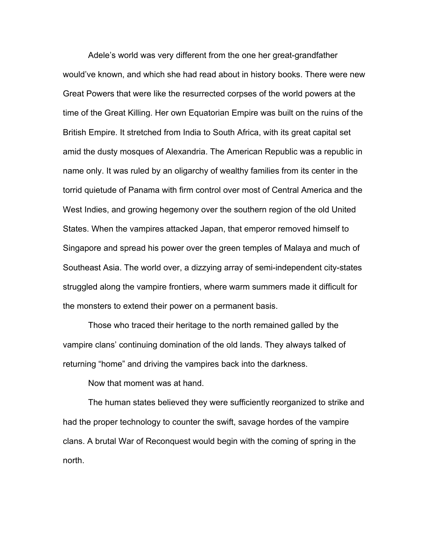Adele's world was very different from the one her great-grandfather would've known, and which she had read about in history books. There were new Great Powers that were like the resurrected corpses of the world powers at the time of the Great Killing. Her own Equatorian Empire was built on the ruins of the British Empire. It stretched from India to South Africa, with its great capital set amid the dusty mosques of Alexandria. The American Republic was a republic in name only. It was ruled by an oligarchy of wealthy families from its center in the torrid quietude of Panama with firm control over most of Central America and the West Indies, and growing hegemony over the southern region of the old United States. When the vampires attacked Japan, that emperor removed himself to Singapore and spread his power over the green temples of Malaya and much of Southeast Asia. The world over, a dizzying array of semi-independent city-states struggled along the vampire frontiers, where warm summers made it difficult for the monsters to extend their power on a permanent basis.

Those who traced their heritage to the north remained galled by the vampire clans' continuing domination of the old lands. They always talked of returning "home" and driving the vampires back into the darkness.

Now that moment was at hand.

The human states believed they were sufficiently reorganized to strike and had the proper technology to counter the swift, savage hordes of the vampire clans. A brutal War of Reconquest would begin with the coming of spring in the north.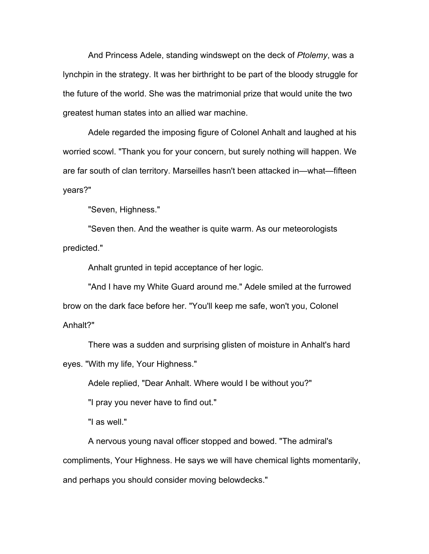And Princess Adele, standing windswept on the deck of *Ptolemy*, was a lynchpin in the strategy. It was her birthright to be part of the bloody struggle for the future of the world. She was the matrimonial prize that would unite the two greatest human states into an allied war machine.

Adele regarded the imposing figure of Colonel Anhalt and laughed at his worried scowl. "Thank you for your concern, but surely nothing will happen. We are far south of clan territory. Marseilles hasn't been attacked in—what—fifteen years?"

"Seven, Highness."

"Seven then. And the weather is quite warm. As our meteorologists predicted."

Anhalt grunted in tepid acceptance of her logic.

"And I have my White Guard around me." Adele smiled at the furrowed brow on the dark face before her. "You'll keep me safe, won't you, Colonel Anhalt?"

There was a sudden and surprising glisten of moisture in Anhalt's hard eyes. "With my life, Your Highness."

Adele replied, "Dear Anhalt. Where would I be without you?"

"I pray you never have to find out."

"I as well."

A nervous young naval officer stopped and bowed. "The admiral's compliments, Your Highness. He says we will have chemical lights momentarily, and perhaps you should consider moving belowdecks."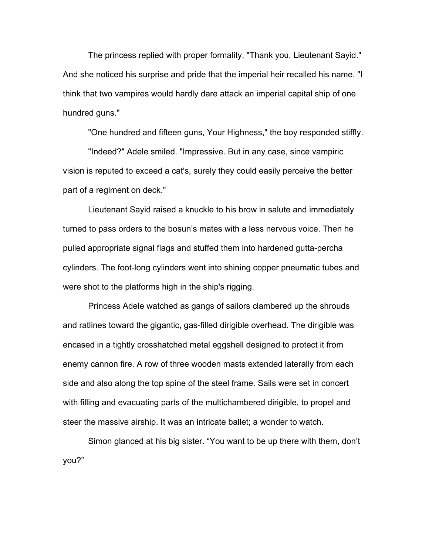The princess replied with proper formality, "Thank you, Lieutenant Sayid." And she noticed his surprise and pride that the imperial heir recalled his name. "I think that two vampires would hardly dare attack an imperial capital ship of one hundred guns."

"One hundred and fifteen guns, Your Highness," the boy responded stiffly.

"Indeed?" Adele smiled. "Impressive. But in any case, since vampiric vision is reputed to exceed a cat's, surely they could easily perceive the better part of a regiment on deck."

Lieutenant Sayid raised a knuckle to his brow in salute and immediately turned to pass orders to the bosun's mates with a less nervous voice. Then he pulled appropriate signal flags and stuffed them into hardened gutta-percha cylinders. The foot-long cylinders went into shining copper pneumatic tubes and were shot to the platforms high in the ship's rigging.

Princess Adele watched as gangs of sailors clambered up the shrouds and ratlines toward the gigantic, gas-filled dirigible overhead. The dirigible was encased in a tightly crosshatched metal eggshell designed to protect it from enemy cannon fire. A row of three wooden masts extended laterally from each side and also along the top spine of the steel frame. Sails were set in concert with filling and evacuating parts of the multichambered dirigible, to propel and steer the massive airship. It was an intricate ballet; a wonder to watch.

Simon glanced at his big sister. "You want to be up there with them, don't you?"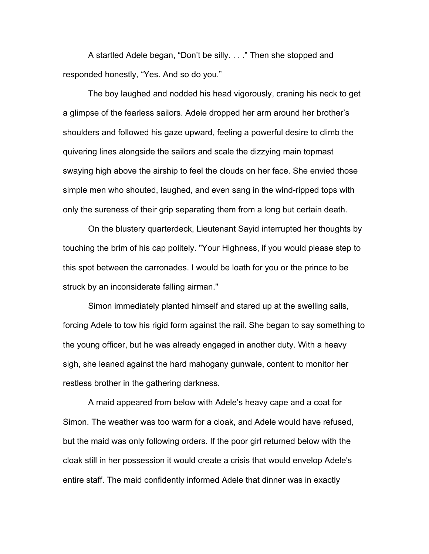A startled Adele began, "Don't be silly. . . ." Then she stopped and responded honestly, "Yes. And so do you."

The boy laughed and nodded his head vigorously, craning his neck to get a glimpse of the fearless sailors. Adele dropped her arm around her brother's shoulders and followed his gaze upward, feeling a powerful desire to climb the quivering lines alongside the sailors and scale the dizzying main topmast swaying high above the airship to feel the clouds on her face. She envied those simple men who shouted, laughed, and even sang in the wind-ripped tops with only the sureness of their grip separating them from a long but certain death.

On the blustery quarterdeck, Lieutenant Sayid interrupted her thoughts by touching the brim of his cap politely. "Your Highness, if you would please step to this spot between the carronades. I would be loath for you or the prince to be struck by an inconsiderate falling airman."

Simon immediately planted himself and stared up at the swelling sails, forcing Adele to tow his rigid form against the rail. She began to say something to the young officer, but he was already engaged in another duty. With a heavy sigh, she leaned against the hard mahogany gunwale, content to monitor her restless brother in the gathering darkness.

A maid appeared from below with Adele's heavy cape and a coat for Simon. The weather was too warm for a cloak, and Adele would have refused, but the maid was only following orders. If the poor girl returned below with the cloak still in her possession it would create a crisis that would envelop Adele's entire staff. The maid confidently informed Adele that dinner was in exactly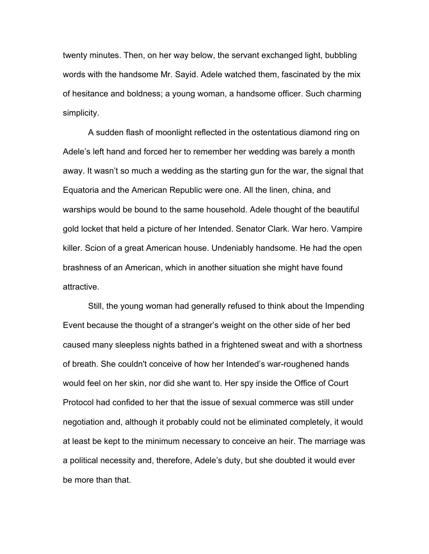twenty minutes. Then, on her way below, the servant exchanged light, bubbling words with the handsome Mr. Sayid. Adele watched them, fascinated by the mix of hesitance and boldness; a young woman, a handsome officer. Such charming simplicity.

A sudden flash of moonlight reflected in the ostentatious diamond ring on Adele's left hand and forced her to remember her wedding was barely a month away. It wasn't so much a wedding as the starting gun for the war, the signal that Equatoria and the American Republic were one. All the linen, china, and warships would be bound to the same household. Adele thought of the beautiful gold locket that held a picture of her Intended. Senator Clark. War hero. Vampire killer. Scion of a great American house. Undeniably handsome. He had the open brashness of an American, which in another situation she might have found attractive.

Still, the young woman had generally refused to think about the Impending Event because the thought of a stranger's weight on the other side of her bed caused many sleepless nights bathed in a frightened sweat and with a shortness of breath. She couldn't conceive of how her Intended's war-roughened hands would feel on her skin, nor did she want to. Her spy inside the Office of Court Protocol had confided to her that the issue of sexual commerce was still under negotiation and, although it probably could not be eliminated completely, it would at least be kept to the minimum necessary to conceive an heir. The marriage was a political necessity and, therefore, Adele's duty, but she doubted it would ever be more than that.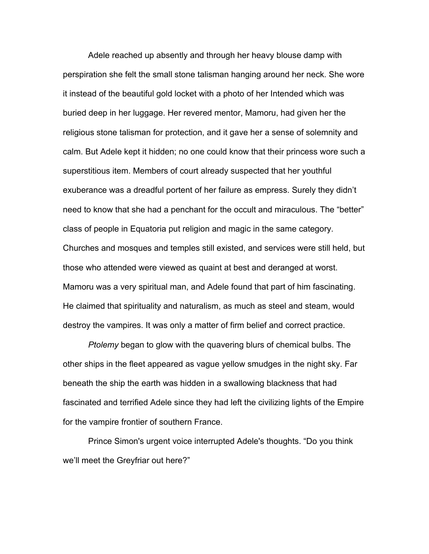Adele reached up absently and through her heavy blouse damp with perspiration she felt the small stone talisman hanging around her neck. She wore it instead of the beautiful gold locket with a photo of her Intended which was buried deep in her luggage. Her revered mentor, Mamoru, had given her the religious stone talisman for protection, and it gave her a sense of solemnity and calm. But Adele kept it hidden; no one could know that their princess wore such a superstitious item. Members of court already suspected that her youthful exuberance was a dreadful portent of her failure as empress. Surely they didn't need to know that she had a penchant for the occult and miraculous. The "better" class of people in Equatoria put religion and magic in the same category. Churches and mosques and temples still existed, and services were still held, but those who attended were viewed as quaint at best and deranged at worst. Mamoru was a very spiritual man, and Adele found that part of him fascinating. He claimed that spirituality and naturalism, as much as steel and steam, would destroy the vampires. It was only a matter of firm belief and correct practice.

*Ptolemy* began to glow with the quavering blurs of chemical bulbs. The other ships in the fleet appeared as vague yellow smudges in the night sky. Far beneath the ship the earth was hidden in a swallowing blackness that had fascinated and terrified Adele since they had left the civilizing lights of the Empire for the vampire frontier of southern France.

Prince Simon's urgent voice interrupted Adele's thoughts. "Do you think we'll meet the Greyfriar out here?"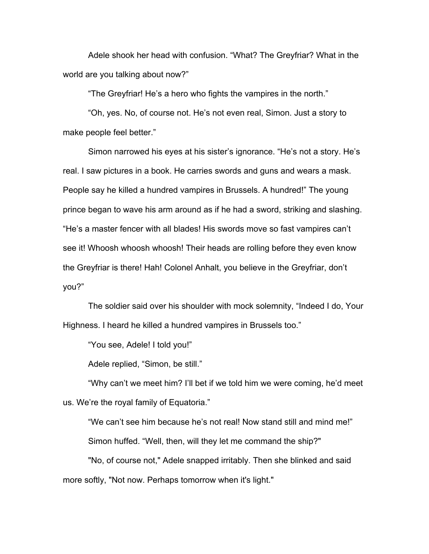Adele shook her head with confusion. "What? The Greyfriar? What in the world are you talking about now?"

"The Greyfriar! He's a hero who fights the vampires in the north."

"Oh, yes. No, of course not. He's not even real, Simon. Just a story to make people feel better."

Simon narrowed his eyes at his sister's ignorance. "He's not a story. He's real. I saw pictures in a book. He carries swords and guns and wears a mask. People say he killed a hundred vampires in Brussels. A hundred!" The young prince began to wave his arm around as if he had a sword, striking and slashing. "He's a master fencer with all blades! His swords move so fast vampires can't see it! Whoosh whoosh whoosh! Their heads are rolling before they even know the Greyfriar is there! Hah! Colonel Anhalt, you believe in the Greyfriar, don't you?"

The soldier said over his shoulder with mock solemnity, "Indeed I do, Your Highness. I heard he killed a hundred vampires in Brussels too."

"You see, Adele! I told you!"

Adele replied, "Simon, be still."

"Why can't we meet him? I'll bet if we told him we were coming, he'd meet us. We're the royal family of Equatoria."

"We can't see him because he's not real! Now stand still and mind me!" Simon huffed. "Well, then, will they let me command the ship?"

"No, of course not," Adele snapped irritably. Then she blinked and said more softly, "Not now. Perhaps tomorrow when it's light."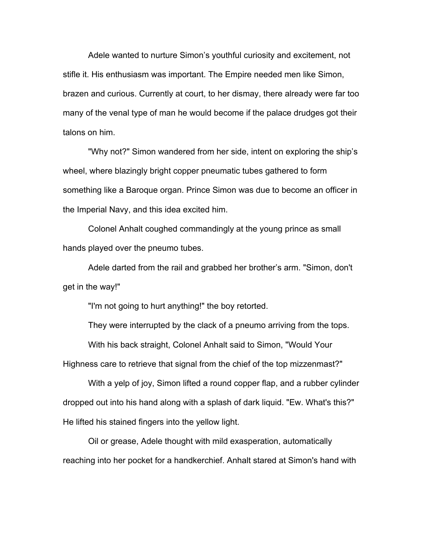Adele wanted to nurture Simon's youthful curiosity and excitement, not stifle it. His enthusiasm was important. The Empire needed men like Simon, brazen and curious. Currently at court, to her dismay, there already were far too many of the venal type of man he would become if the palace drudges got their talons on him.

"Why not?" Simon wandered from her side, intent on exploring the ship's wheel, where blazingly bright copper pneumatic tubes gathered to form something like a Baroque organ. Prince Simon was due to become an officer in the Imperial Navy, and this idea excited him.

Colonel Anhalt coughed commandingly at the young prince as small hands played over the pneumo tubes.

Adele darted from the rail and grabbed her brother's arm. "Simon, don't get in the way!"

"I'm not going to hurt anything!" the boy retorted.

They were interrupted by the clack of a pneumo arriving from the tops.

With his back straight, Colonel Anhalt said to Simon, "Would Your Highness care to retrieve that signal from the chief of the top mizzenmast?"

With a yelp of joy, Simon lifted a round copper flap, and a rubber cylinder dropped out into his hand along with a splash of dark liquid. "Ew. What's this?" He lifted his stained fingers into the yellow light.

Oil or grease, Adele thought with mild exasperation, automatically reaching into her pocket for a handkerchief. Anhalt stared at Simon's hand with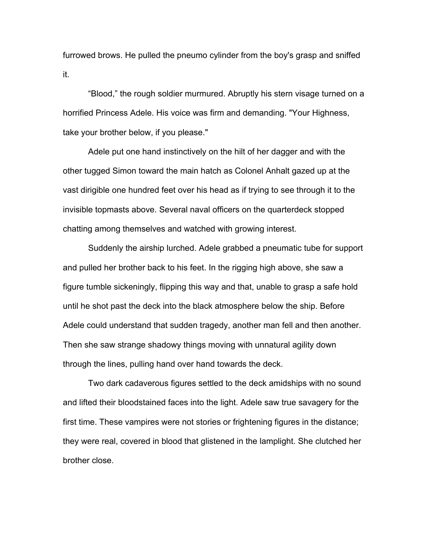furrowed brows. He pulled the pneumo cylinder from the boy's grasp and sniffed it.

"Blood," the rough soldier murmured. Abruptly his stern visage turned on a horrified Princess Adele. His voice was firm and demanding. "Your Highness, take your brother below, if you please."

Adele put one hand instinctively on the hilt of her dagger and with the other tugged Simon toward the main hatch as Colonel Anhalt gazed up at the vast dirigible one hundred feet over his head as if trying to see through it to the invisible topmasts above. Several naval officers on the quarterdeck stopped chatting among themselves and watched with growing interest.

Suddenly the airship lurched. Adele grabbed a pneumatic tube for support and pulled her brother back to his feet. In the rigging high above, she saw a figure tumble sickeningly, flipping this way and that, unable to grasp a safe hold until he shot past the deck into the black atmosphere below the ship. Before Adele could understand that sudden tragedy, another man fell and then another. Then she saw strange shadowy things moving with unnatural agility down through the lines, pulling hand over hand towards the deck.

Two dark cadaverous figures settled to the deck amidships with no sound and lifted their bloodstained faces into the light. Adele saw true savagery for the first time. These vampires were not stories or frightening figures in the distance; they were real, covered in blood that glistened in the lamplight. She clutched her brother close.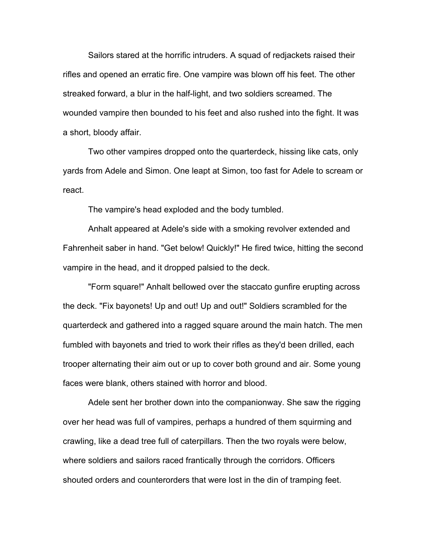Sailors stared at the horrific intruders. A squad of redjackets raised their rifles and opened an erratic fire. One vampire was blown off his feet. The other streaked forward, a blur in the half-light, and two soldiers screamed. The wounded vampire then bounded to his feet and also rushed into the fight. It was a short, bloody affair.

Two other vampires dropped onto the quarterdeck, hissing like cats, only yards from Adele and Simon. One leapt at Simon, too fast for Adele to scream or react.

The vampire's head exploded and the body tumbled.

Anhalt appeared at Adele's side with a smoking revolver extended and Fahrenheit saber in hand. "Get below! Quickly!" He fired twice, hitting the second vampire in the head, and it dropped palsied to the deck.

"Form square!" Anhalt bellowed over the staccato gunfire erupting across the deck. "Fix bayonets! Up and out! Up and out!" Soldiers scrambled for the quarterdeck and gathered into a ragged square around the main hatch. The men fumbled with bayonets and tried to work their rifles as they'd been drilled, each trooper alternating their aim out or up to cover both ground and air. Some young faces were blank, others stained with horror and blood.

Adele sent her brother down into the companionway. She saw the rigging over her head was full of vampires, perhaps a hundred of them squirming and crawling, like a dead tree full of caterpillars. Then the two royals were below, where soldiers and sailors raced frantically through the corridors. Officers shouted orders and counterorders that were lost in the din of tramping feet.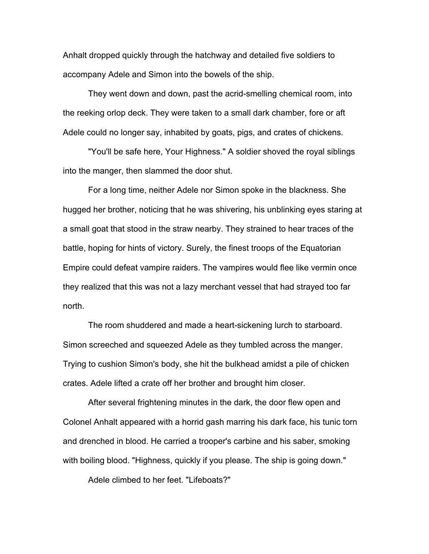Anhalt dropped quickly through the hatchway and detailed five soldiers to accompany Adele and Simon into the bowels of the ship.

They went down and down, past the acrid-smelling chemical room, into the reeking orlop deck. They were taken to a small dark chamber, fore or aft Adele could no longer say, inhabited by goats, pigs, and crates of chickens.

"You'll be safe here, Your Highness." A soldier shoved the royal siblings into the manger, then slammed the door shut.

For a long time, neither Adele nor Simon spoke in the blackness. She hugged her brother, noticing that he was shivering, his unblinking eyes staring at a small goat that stood in the straw nearby. They strained to hear traces of the battle, hoping for hints of victory. Surely, the finest troops of the Equatorian Empire could defeat vampire raiders. The vampires would flee like vermin once they realized that this was not a lazy merchant vessel that had strayed too far north.

The room shuddered and made a heart-sickening lurch to starboard. Simon screeched and squeezed Adele as they tumbled across the manger. Trying to cushion Simon's body, she hit the bulkhead amidst a pile of chicken crates. Adele lifted a crate off her brother and brought him closer.

After several frightening minutes in the dark, the door flew open and Colonel Anhalt appeared with a horrid gash marring his dark face, his tunic torn and drenched in blood. He carried a trooper's carbine and his saber, smoking with boiling blood. "Highness, quickly if you please. The ship is going down."

Adele climbed to her feet. "Lifeboats?"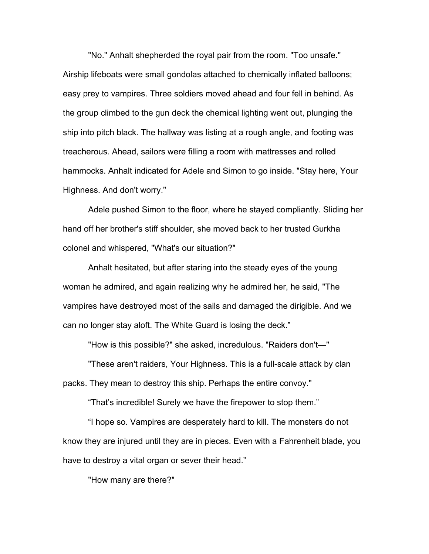"No." Anhalt shepherded the royal pair from the room. "Too unsafe." Airship lifeboats were small gondolas attached to chemically inflated balloons; easy prey to vampires. Three soldiers moved ahead and four fell in behind. As the group climbed to the gun deck the chemical lighting went out, plunging the ship into pitch black. The hallway was listing at a rough angle, and footing was treacherous. Ahead, sailors were filling a room with mattresses and rolled hammocks. Anhalt indicated for Adele and Simon to go inside. "Stay here, Your Highness. And don't worry."

Adele pushed Simon to the floor, where he stayed compliantly. Sliding her hand off her brother's stiff shoulder, she moved back to her trusted Gurkha colonel and whispered, "What's our situation?"

Anhalt hesitated, but after staring into the steady eyes of the young woman he admired, and again realizing why he admired her, he said, "The vampires have destroyed most of the sails and damaged the dirigible. And we can no longer stay aloft. The White Guard is losing the deck."

"How is this possible?" she asked, incredulous. "Raiders don't—"

"These aren't raiders, Your Highness. This is a full-scale attack by clan packs. They mean to destroy this ship. Perhaps the entire convoy."

"That's incredible! Surely we have the firepower to stop them."

"I hope so. Vampires are desperately hard to kill. The monsters do not know they are injured until they are in pieces. Even with a Fahrenheit blade, you have to destroy a vital organ or sever their head."

"How many are there?"